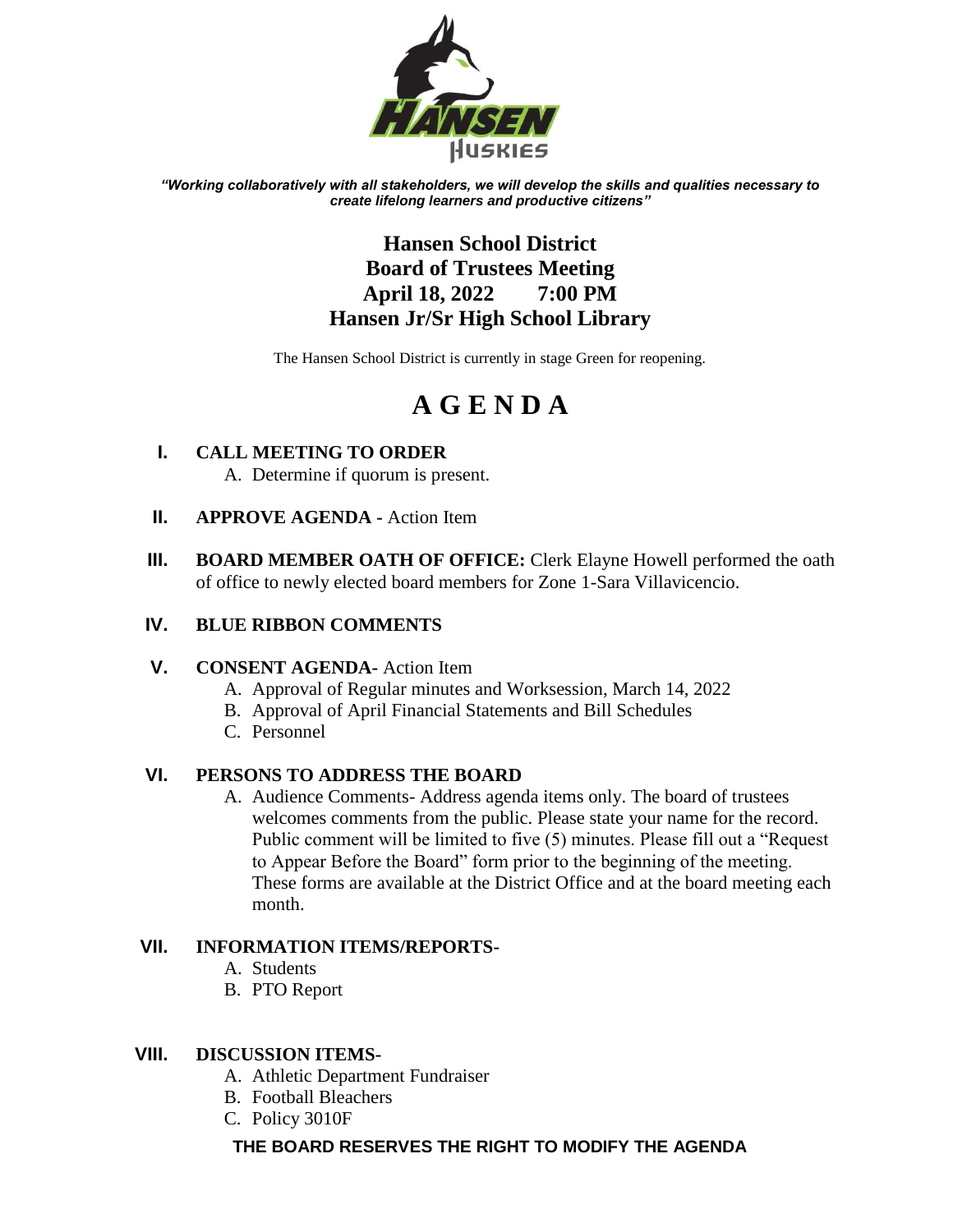

*"Working collaboratively with all stakeholders, we will develop the skills and qualities necessary to create lifelong learners and productive citizens"*

# **Hansen School District Board of Trustees Meeting April 18, 2022 7:00 PM Hansen Jr/Sr High School Library**

The Hansen School District is currently in stage Green for reopening.

# **A G E N D A**

- **I. CALL MEETING TO ORDER** A. Determine if quorum is present.
- **II. APPROVE AGENDA -** Action Item
- **III. BOARD MEMBER OATH OF OFFICE:** Clerk Elayne Howell performed the oath of office to newly elected board members for Zone 1-Sara Villavicencio.

## **IV. BLUE RIBBON COMMENTS**

### **V. CONSENT AGENDA-** Action Item

- A. Approval of Regular minutes and Worksession, March 14, 2022
- B. Approval of April Financial Statements and Bill Schedules
- C. Personnel

### **VI. PERSONS TO ADDRESS THE BOARD**

A. Audience Comments- Address agenda items only. The board of trustees welcomes comments from the public. Please state your name for the record. Public comment will be limited to five (5) minutes. Please fill out a "Request to Appear Before the Board" form prior to the beginning of the meeting. These forms are available at the District Office and at the board meeting each month.

### **VII. INFORMATION ITEMS/REPORTS-**

- A. Students
- B. PTO Report

### **VIII. DISCUSSION ITEMS-**

- A. Athletic Department Fundraiser
- B. Football Bleachers
- C. Policy 3010F

### **THE BOARD RESERVES THE RIGHT TO MODIFY THE AGENDA**